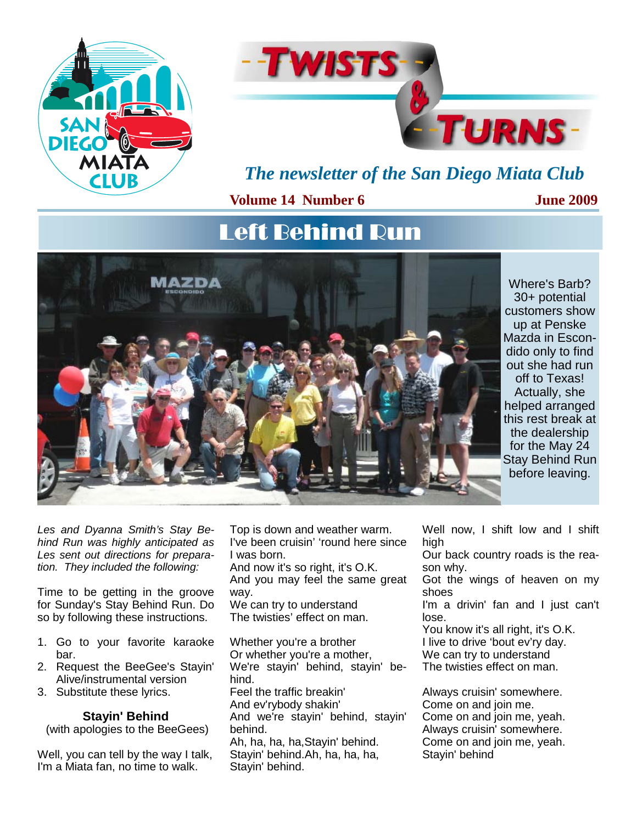



## *The newsletter of the San Diego Miata Club*

#### **Volume 14 Number 6**

**June 2009** 

# Left Behind Run



Where's Barb? 30+ potential customers show up at Penske Mazda in Escondido only to find out she had run off to Texas! Actually, she helped arranged this rest break at the dealership for the May 24 Stay Behind Run before leaving.

*Les and Dyanna Smith's Stay Behind Run was highly anticipated as Les sent out directions for preparation. They included the following:* 

Time to be getting in the groove for Sunday's Stay Behind Run. Do so by following these instructions.

- 1. Go to your favorite karaoke bar.
- 2. Request the BeeGee's Stayin' Alive/instrumental version
- 3. Substitute these lyrics.

## **Stayin' Behind**

(with apologies to the BeeGees)

Well, you can tell by the way I talk, I'm a Miata fan, no time to walk.

Top is down and weather warm. I've been cruisin' 'round here since I was born.

And now it's so right, it's O.K. And you may feel the same great way. We can try to understand

The twisties' effect on man.

Whether you're a brother Or whether you're a mother, We're stayin' behind, stayin' behind. Feel the traffic breakin' And ev'rybody shakin' And we're stayin' behind, stayin' behind. Ah, ha, ha, ha,Stayin' behind. Stayin' behind.Ah, ha, ha, ha, Stayin' behind.

Well now, I shift low and I shift high

Our back country roads is the reason why.

Got the wings of heaven on my shoes

I'm a drivin' fan and I just can't lose.

You know it's all right, it's O.K. I live to drive 'bout ev'ry day. We can try to understand The twisties effect on man.

Always cruisin' somewhere. Come on and join me. Come on and join me, yeah. Always cruisin' somewhere. Come on and join me, yeah. Stayin' behind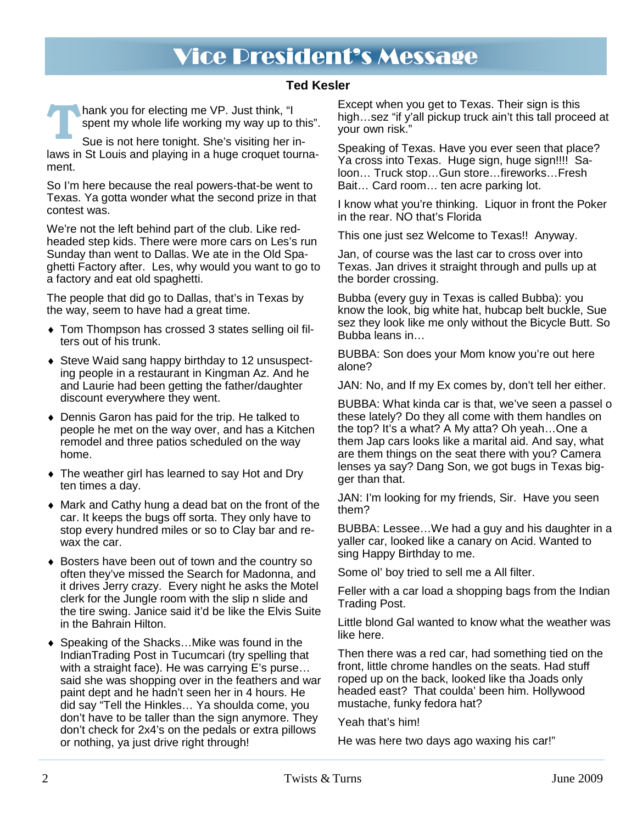# Vice President's Message

#### **Ted Kesler**

**hank you for electing me VP. Just think, "I** spent my whole life working my way up to this".

Sue is not here tonight. She's visiting her inlaws in St Louis and playing in a huge croquet tournament.

So I'm here because the real powers-that-be went to Texas. Ya gotta wonder what the second prize in that contest was.

We're not the left behind part of the club. Like redheaded step kids. There were more cars on Les's run Sunday than went to Dallas. We ate in the Old Spaghetti Factory after. Les, why would you want to go to a factory and eat old spaghetti.

The people that did go to Dallas, that's in Texas by the way, seem to have had a great time.

- ♦ Tom Thompson has crossed 3 states selling oil filters out of his trunk.
- ♦ Steve Waid sang happy birthday to 12 unsuspecting people in a restaurant in Kingman Az. And he and Laurie had been getting the father/daughter discount everywhere they went.
- ♦ Dennis Garon has paid for the trip. He talked to people he met on the way over, and has a Kitchen remodel and three patios scheduled on the way home.
- ♦ The weather girl has learned to say Hot and Dry ten times a day.
- ♦ Mark and Cathy hung a dead bat on the front of the car. It keeps the bugs off sorta. They only have to stop every hundred miles or so to Clay bar and rewax the car.
- ♦ Bosters have been out of town and the country so often they've missed the Search for Madonna, and it drives Jerry crazy. Every night he asks the Motel clerk for the Jungle room with the slip n slide and the tire swing. Janice said it'd be like the Elvis Suite in the Bahrain Hilton.
- ♦ Speaking of the Shacks…Mike was found in the IndianTrading Post in Tucumcari (try spelling that with a straight face). He was carrying E's purse… said she was shopping over in the feathers and war paint dept and he hadn't seen her in 4 hours. He did say "Tell the Hinkles… Ya shoulda come, you don't have to be taller than the sign anymore. They don't check for 2x4's on the pedals or extra pillows or nothing, ya just drive right through!

Except when you get to Texas. Their sign is this high...sez "if y'all pickup truck ain't this tall proceed at your own risk."

Speaking of Texas. Have you ever seen that place? Ya cross into Texas. Huge sign, huge sign!!!! Saloon… Truck stop…Gun store…fireworks…Fresh Bait… Card room… ten acre parking lot.

I know what you're thinking. Liquor in front the Poker in the rear. NO that's Florida

This one just sez Welcome to Texas!! Anyway.

Jan, of course was the last car to cross over into Texas. Jan drives it straight through and pulls up at the border crossing.

Bubba (every guy in Texas is called Bubba): you know the look, big white hat, hubcap belt buckle, Sue sez they look like me only without the Bicycle Butt. So Bubba leans in…

BUBBA: Son does your Mom know you're out here alone?

JAN: No, and If my Ex comes by, don't tell her either.

BUBBA: What kinda car is that, we've seen a passel o these lately? Do they all come with them handles on the top? It's a what? A My atta? Oh yeah…One a them Jap cars looks like a marital aid. And say, what are them things on the seat there with you? Camera lenses ya say? Dang Son, we got bugs in Texas bigger than that.

JAN: I'm looking for my friends, Sir. Have you seen them?

BUBBA: Lessee…We had a guy and his daughter in a yaller car, looked like a canary on Acid. Wanted to sing Happy Birthday to me.

Some ol' boy tried to sell me a All filter.

Feller with a car load a shopping bags from the Indian Trading Post.

Little blond Gal wanted to know what the weather was like here.

Then there was a red car, had something tied on the front, little chrome handles on the seats. Had stuff roped up on the back, looked like tha Joads only headed east? That coulda' been him. Hollywood mustache, funky fedora hat?

#### Yeah that's him!

He was here two days ago waxing his car!"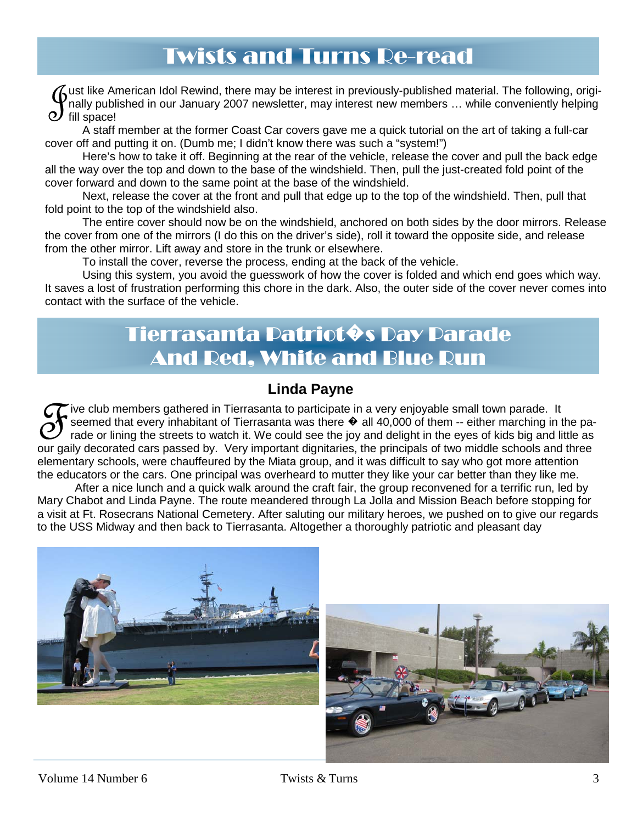# Twists and Turns Re-read

Its like American Idol Rewind, there may be interest in previously-published material. The following, origi-<br>Itally published in our January 2007 newsletter, may interest new members ... while conveniently helping<br>fill spa nally published in our January 2007 newsletter, may interest new members … while conveniently helping fill space!

**1**  A staff member at the former Coast Car covers gave me a quick tutorial on the art of taking a full-car cover off and putting it on. (Dumb me; I didn't know there was such a "system!")

 Here's how to take it off. Beginning at the rear of the vehicle, release the cover and pull the back edge all the way over the top and down to the base of the windshield. Then, pull the just-created fold point of the cover forward and down to the same point at the base of the windshield.

 Next, release the cover at the front and pull that edge up to the top of the windshield. Then, pull that fold point to the top of the windshield also.

 The entire cover should now be on the windshield, anchored on both sides by the door mirrors. Release the cover from one of the mirrors (I do this on the driver's side), roll it toward the opposite side, and release from the other mirror. Lift away and store in the trunk or elsewhere.

To install the cover, reverse the process, ending at the back of the vehicle.

**2**  Using this system, you avoid the guesswork of how the cover is folded and which end goes which way. It saves a lost of frustration performing this chore in the dark. Also, the outer side of the cover never comes into contact with the surface of the vehicle.

# Tierrasanta Patriot�s Day Parade And Red, White and Blue Run

## **Linda Payne**

 $\sigma$  ive club members gathered in Tierrasanta to participate in a very enjoyable small town parade. It seemed that every inhabitant of Tierrasanta was there  $\hat{\Phi}$  all 40,000 of them -- either marching in the parade or lining the streets to watch it. We could see the joy and delight in the eyes of kids big and little as our gaily decorated cars passed by. Very important dignitaries, the principals of two middle schools and three elementary schools, were chauffeured by the Miata group, and it was difficult to say who got more attention the educators or the cars. One principal was overheard to mutter they like your car better than they like me.

 After a nice lunch and a quick walk around the craft fair, the group reconvened for a terrific run, led by Mary Chabot and Linda Payne. The route meandered through La Jolla and Mission Beach before stopping for a visit at Ft. Rosecrans National Cemetery. After saluting our military heroes, we pushed on to give our regards to the USS Midway and then back to Tierrasanta. Altogether a thoroughly patriotic and pleasant day



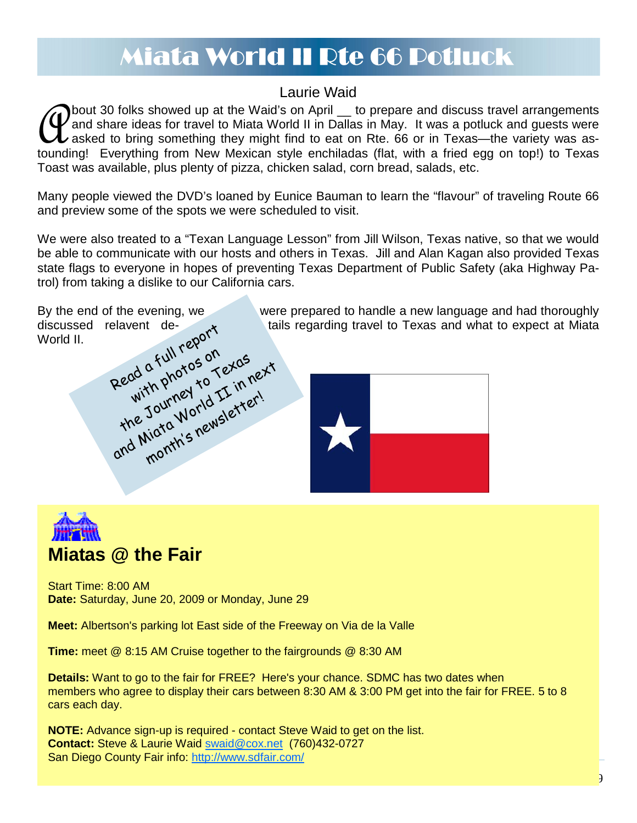# Miata World II Rte 66 Potluck

## Laurie Waid

**Thout 30 folks showed up at the Waid's on April \_ to prepare and discuss travel arrangements** and share ideas for travel to Miata World II in Dallas in May. It was a potluck and guests were  $\bm{\nu}$  asked to bring something they might find to eat on Rte. 66 or in Texas—the variety was astounding! Everything from New Mexican style enchiladas (flat, with a fried egg on top!) to Texas Toast was available, plus plenty of pizza, chicken salad, corn bread, salads, etc.

Many people viewed the DVD's loaned by Eunice Bauman to learn the "flavour" of traveling Route 66 and preview some of the spots we were scheduled to visit.

We were also treated to a "Texan Language Lesson" from Jill Wilson, Texas native, so that we would be able to communicate with our hosts and others in Texas. Jill and Alan Kagan also provided Texas state flags to everyone in hopes of preventing Texas Department of Public Safety (aka Highway Patrol) from taking a dislike to our California cars.





Start Time: 8:00 AM **Date:** Saturday, June 20, 2009 or Monday, June 29

**Meet:** Albertson's parking lot East side of the Freeway on Via de la Valle

**Time:** meet @ 8:15 AM Cruise together to the fairgrounds @ 8:30 AM

**Details:** Want to go to the fair for FREE? Here's your chance. SDMC has two dates when members who agree to display their cars between 8:30 AM & 3:00 PM get into the fair for FREE. 5 to 8 cars each day.

**NOTE:** Advance sign-up is required - contact Steve Waid to get on the list. **Contact:** Steve & Laurie Waid swaid@cox.net (760)432-0727 San Diego County Fair info: http://www.sdfair.com/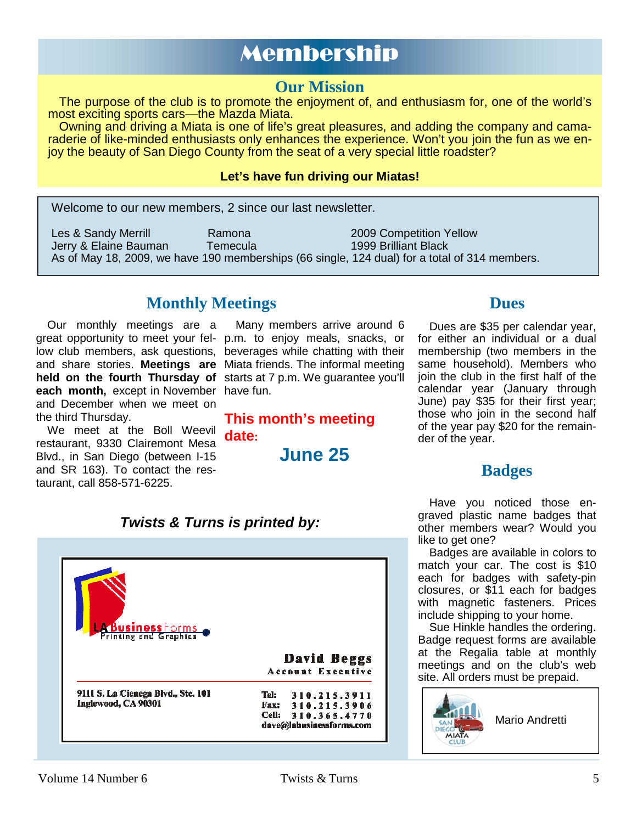# Membership

## **Our Mission**

The purpose of the club is to promote the enjoyment of, and enthusiasm for, one of the world's most exciting sports cars—the Mazda Miata.

Owning and driving a Miata is one of life's great pleasures, and adding the company and camaraderie of like-minded enthusiasts only enhances the experience. Won't you join the fun as we enjoy the beauty of San Diego County from the seat of a very special little roadster?

#### **Let's have fun driving our Miatas!**

Welcome to our new members, 2 since our last newsletter.

Les & Sandy Merrill **Ramona** 2009 Competition Yellow<br>Jerry & Flaine Bauman **Competition Competition Yellow** Jerry & Elaine Bauman As of May 18, 2009, we have 190 memberships (66 single, 124 dual) for a total of 314 members.

## **Monthly Meetings Dues**

Our monthly meetings are a **each month,** except in November have fun. and December when we meet on the third Thursday.

We meet at the Boll Weevil restaurant, 9330 Clairemont Mesa Blvd., in San Diego (between I-15 and SR 163). To contact the restaurant, call 858-571-6225.

great opportunity to meet your fel-p.m. to enjoy meals, snacks, or low club members, ask questions, beverages while chatting with their and share stories. **Meetings are**  Miata friends. The informal meeting held on the fourth Thursday of starts at 7 p.m. We guarantee you'll Many members arrive around 6

> **This month's meeting date:**

> > **June 25**

Dues are \$35 per calendar year, for either an individual or a dual membership (two members in the same household). Members who join the club in the first half of the calendar year (January through June) pay \$35 for their first year; those who join in the second half of the year pay \$20 for the remainder of the year.

## **Badges**

Have you noticed those engraved plastic name badges that other members wear? Would you like to get one?

Badges are available in colors to match your car. The cost is \$10 each for badges with safety-pin closures, or \$11 each for badges with magnetic fasteners. Prices include shipping to your home.

Sue Hinkle handles the ordering. Badge request forms are available at the Regalia table at monthly meetings and on the club's web site. All orders must be prepaid.



#### *Twists & Turns is printed by:*

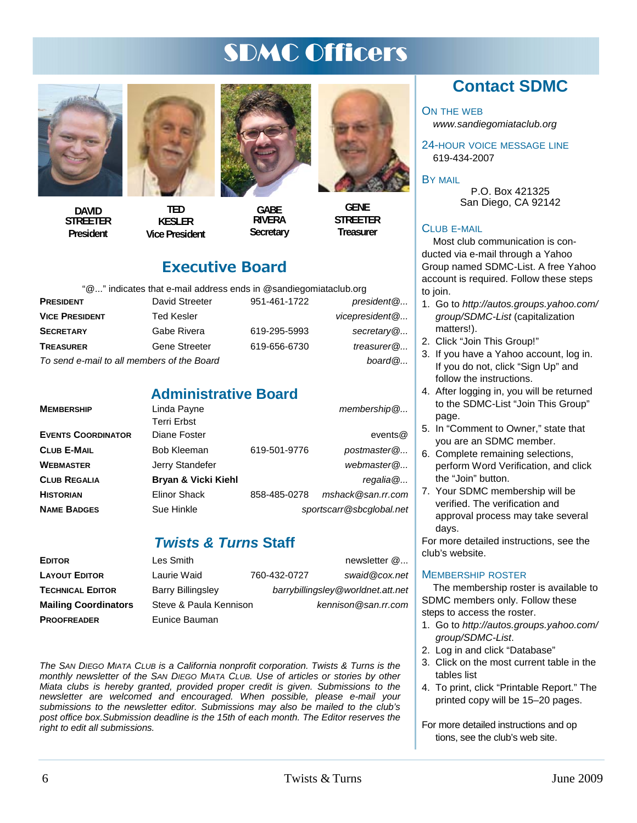# SDMC Officers



**DAVID STREETER President** 

**TED KESLER Vice President** 



**GABE RIVERA Secretary** 



**Treasurer** 

## Executive Board

"@..." indicates that e-mail address ends in @sandiegomiataclub.org

| <b>PRESIDENT</b>                           | David Streeter    | 951-461-1722 | president@                 |
|--------------------------------------------|-------------------|--------------|----------------------------|
| <b>VICE PRESIDENT</b>                      | <b>Ted Kesler</b> |              | vicepresident <sup>@</sup> |
| SECRETARY                                  | Gabe Rivera       | 619-295-5993 | secretary@                 |
| <b>TREASURER</b>                           | Gene Streeter     | 619-656-6730 | treasurer $@$              |
| To send e-mail to all members of the Board | board@            |              |                            |

## **Administrative Board**

| <b>MEMBERSHIP</b>         | Linda Payne         |              | $m$ embership $@$        |
|---------------------------|---------------------|--------------|--------------------------|
|                           | <b>Terri Erbst</b>  |              |                          |
| <b>EVENTS COORDINATOR</b> | Diane Foster        |              | events@                  |
| CLUB E-MAIL               | <b>Bob Kleeman</b>  | 619-501-9776 | postmaster@              |
| WEBMASTER                 | Jerry Standefer     |              | webmaster@               |
| <b>CLUB REGALIA</b>       | Bryan & Vicki Kiehl |              | regalia@                 |
| <b>HISTORIAN</b>          | <b>Elinor Shack</b> | 858-485-0278 | mshack@san.rr.com        |
| <b>NAME BADGES</b>        | Sue Hinkle          |              | sportscarr@sbcglobal.net |
|                           |                     |              |                          |

## *Twists & Turns* **Staff**

| <b>EDITOR</b>               | Les Smith                |              | newsletter $@$                    |
|-----------------------------|--------------------------|--------------|-----------------------------------|
| <b>LAYOUT EDITOR</b>        | Laurie Waid              | 760-432-0727 | swaid@cox.net                     |
| <b>TECHNICAL EDITOR</b>     | <b>Barry Billingsley</b> |              | barrybillingsley@worldnet.att.net |
| <b>Mailing Coordinators</b> | Steve & Paula Kennison   |              | $k$ ennison@san.rr.com            |
| <b>PROOFREADER</b>          | Eunice Bauman            |              |                                   |

*The SAN DIEGO MIATA CLUB is a California nonprofit corporation. Twists & Turns is the monthly newsletter of the SAN DIEGO MIATA CLUB. Use of articles or stories by other Miata clubs is hereby granted, provided proper credit is given. Submissions to the newsletter are welcomed and encouraged. When possible, please e-mail your submissions to the newsletter editor. Submissions may also be mailed to the club's post office box.Submission deadline is the 15th of each month. The Editor reserves the right to edit all submissions.* 

## **Contact SDMC**

ON THE WEB

*www.sandiegomiataclub.org* 

24-HOUR VOICE MESSAGE LINE 619-434-2007

BY MAIL

P.O. Box 421325 San Diego, CA 92142

#### CLUB E-MAIL

Most club communication is conducted via e-mail through a Yahoo Group named SDMC-List. A free Yahoo account is required. Follow these steps to join.

- 1. Go to *http://autos.groups.yahoo.com/ group/SDMC-List* (capitalization matters!).
- 2. Click "Join This Group!"
- 3. If you have a Yahoo account, log in. If you do not, click "Sign Up" and follow the instructions.
- 4. After logging in, you will be returned to the SDMC-List "Join This Group" page.
- 5. In "Comment to Owner," state that you are an SDMC member.
- 6. Complete remaining selections, perform Word Verification, and click the "Join" button.
- 7. Your SDMC membership will be verified. The verification and approval process may take several days.

For more detailed instructions, see the club's website.

#### MEMBERSHIP ROSTER

The membership roster is available to SDMC members only. Follow these steps to access the roster.

- 1. Go to *http://autos.groups.yahoo.com/ group/SDMC-List*.
- 2. Log in and click "Database"
- 3. Click on the most current table in the tables list
- 4. To print, click "Printable Report." The printed copy will be 15–20 pages.

For more detailed instructions and op tions, see the club's web site.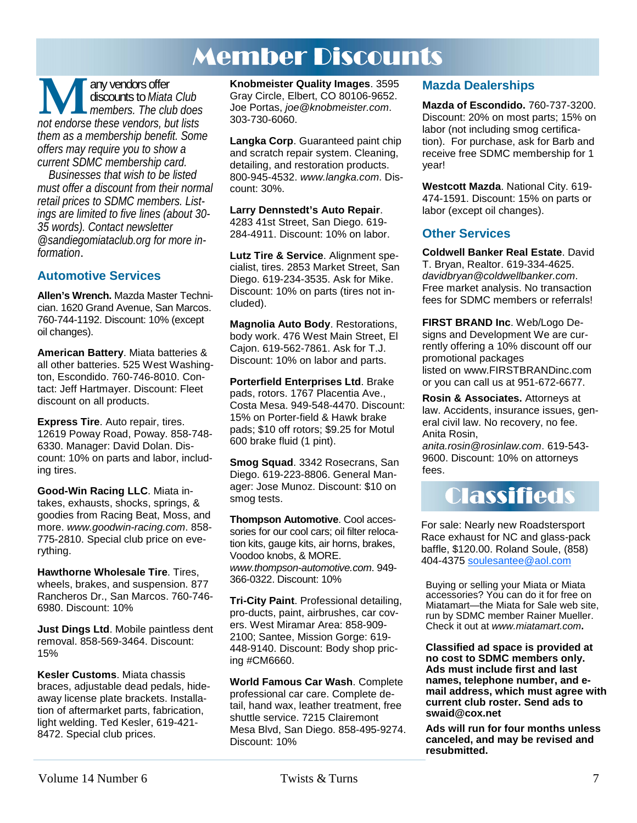# Member Discounts

**M** any vendors offer<br> *not endorse these vendors, but lists*<br> *not endorse these vendors, but lists* discounts to *Miata Club members. The club does them as a membership benefit. Some offers may require you to show a current SDMC membership card.* 

*Businesses that wish to be listed must offer a discount from their normal retail prices to SDMC members. Listings are limited to five lines (about 30- 35 words). Contact newsletter @sandiegomiataclub.org for more information*.

#### **Automotive Services**

**Allen's Wrench.** Mazda Master Technician. 1620 Grand Avenue, San Marcos. 760-744-1192. Discount: 10% (except oil changes).

**American Battery**. Miata batteries & all other batteries. 525 West Washington, Escondido. 760-746-8010. Contact: Jeff Hartmayer. Discount: Fleet discount on all products.

**Express Tire**. Auto repair, tires. 12619 Poway Road, Poway. 858-748- 6330. Manager: David Dolan. Discount: 10% on parts and labor, including tires.

**Good-Win Racing LLC**. Miata intakes, exhausts, shocks, springs, & goodies from Racing Beat, Moss, and more. *www.goodwin-racing.com*. 858- 775-2810. Special club price on everything.

**Hawthorne Wholesale Tire**. Tires, wheels, brakes, and suspension. 877 Rancheros Dr., San Marcos. 760-746- 6980. Discount: 10%

**Just Dings Ltd**. Mobile paintless dent removal. 858-569-3464. Discount: 15%

**Kesler Customs**. Miata chassis braces, adjustable dead pedals, hideaway license plate brackets. Installation of aftermarket parts, fabrication, light welding. Ted Kesler, 619-421- 8472. Special club prices.

**Knobmeister Quality Images**. 3595 Gray Circle, Elbert, CO 80106-9652. Joe Portas, *joe@knobmeister.com*. 303-730-6060.

**Langka Corp**. Guaranteed paint chip and scratch repair system. Cleaning, detailing, and restoration products. 800-945-4532. *www.langka.com*. Discount: 30%.

**Larry Dennstedt's Auto Repair**. 4283 41st Street, San Diego. 619- 284-4911. Discount: 10% on labor.

**Lutz Tire & Service**. Alignment specialist, tires. 2853 Market Street, San Diego. 619-234-3535. Ask for Mike. Discount: 10% on parts (tires not included).

**Magnolia Auto Body**. Restorations, body work. 476 West Main Street, El Cajon. 619-562-7861. Ask for T.J. Discount: 10% on labor and parts.

**Porterfield Enterprises Ltd**. Brake pads, rotors. 1767 Placentia Ave., Costa Mesa. 949-548-4470. Discount: 15% on Porter-field & Hawk brake pads; \$10 off rotors; \$9.25 for Motul 600 brake fluid (1 pint).

**Smog Squad**. 3342 Rosecrans, San Diego. 619-223-8806. General Manager: Jose Munoz. Discount: \$10 on smog tests.

**Thompson Automotive**. Cool accessories for our cool cars; oil filter relocation kits, gauge kits, air horns, brakes, Voodoo knobs, & MORE. *www.thompson-automotive.com*. 949- 366-0322. Discount: 10%

**Tri-City Paint**. Professional detailing, pro-ducts, paint, airbrushes, car covers. West Miramar Area: 858-909- 2100; Santee, Mission Gorge: 619- 448-9140. Discount: Body shop pricing #CM6660.

**World Famous Car Wash**. Complete professional car care. Complete detail, hand wax, leather treatment, free shuttle service. 7215 Clairemont Mesa Blvd, San Diego. 858-495-9274. Discount: 10%

#### **Mazda Dealerships**

**Mazda of Escondido.** 760-737-3200. Discount: 20% on most parts; 15% on labor (not including smog certification). For purchase, ask for Barb and receive free SDMC membership for 1 year!

**Westcott Mazda**. National City. 619- 474-1591. Discount: 15% on parts or labor (except oil changes).

#### **Other Services**

**Coldwell Banker Real Estate**. David T. Bryan, Realtor. 619-334-4625. *davidbryan@coldwellbanker.com*. Free market analysis. No transaction fees for SDMC members or referrals!

**FIRST BRAND Inc**. Web/Logo Designs and Development We are currently offering a 10% discount off our promotional packages listed on www.FIRSTBRANDinc.com or you can call us at 951-672-6677.

**Rosin & Associates.** Attorneys at law. Accidents, insurance issues, general civil law. No recovery, no fee. Anita Rosin,

*anita.rosin@rosinlaw.com*. 619-543- 9600. Discount: 10% on attorneys fees.



For sale: Nearly new Roadstersport Race exhaust for NC and glass-pack baffle, \$120.00. Roland Soule, (858) 404-4375 soulesantee@aol.com

Buying or selling your Miata or Miata accessories? You can do it for free on Miatamart—the Miata for Sale web site, run by SDMC member Rainer Mueller. Check it out at *www.miatamart.com***.** 

**Classified ad space is provided at no cost to SDMC members only. Ads must include first and last names, telephone number, and email address, which must agree with current club roster. Send ads to swaid@cox.net**

**Ads will run for four months unless canceled, and may be revised and resubmitted.**